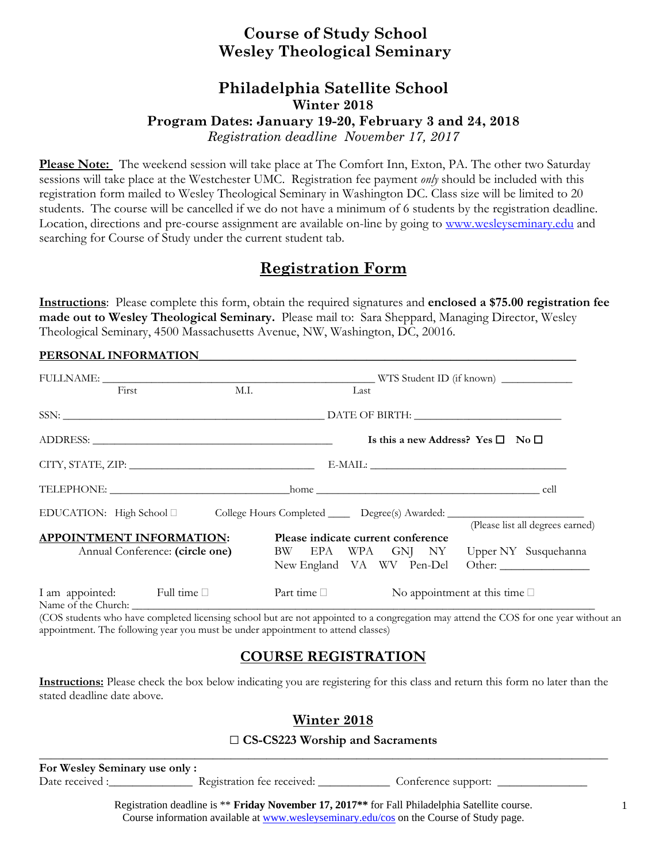## **Course of Study School Wesley Theological Seminary**

# **Philadelphia Satellite School Winter 2018 Program Dates: January 19-20, February 3 and 24, 2018**

*Registration deadline November 17, 2017* 

**Please Note:** The weekend session will take place at The Comfort Inn, Exton, PA. The other two Saturday sessions will take place at the Westchester UMC. Registration fee payment *only* should be included with this registration form mailed to Wesley Theological Seminary in Washington DC. Class size will be limited to 20 students. The course will be cancelled if we do not have a minimum of 6 students by the registration deadline. Location, directions and pre-course assignment are available on-line by going to www.wesleyseminary.edu and searching for Course of Study under the current student tab.

## **Registration Form**

**Instructions**: Please complete this form, obtain the required signatures and **enclosed a \$75.00 registration fee made out to Wesley Theological Seminary.** Please mail to: Sara Sheppard, Managing Director, Wesley Theological Seminary, 4500 Massachusetts Avenue, NW, Washington, DC, 20016.

#### PERSONAL INFORMATION

| First                                                              | M.I.                                                                                                | Last                               |  |  |                                                                                |                                                                            |  |
|--------------------------------------------------------------------|-----------------------------------------------------------------------------------------------------|------------------------------------|--|--|--------------------------------------------------------------------------------|----------------------------------------------------------------------------|--|
|                                                                    |                                                                                                     |                                    |  |  |                                                                                |                                                                            |  |
|                                                                    |                                                                                                     |                                    |  |  | Is this a new Address? Yes $\square$ No $\square$                              |                                                                            |  |
|                                                                    |                                                                                                     |                                    |  |  | $\text{E-MAIL:}\footnotesize\begin{picture}(10,10) \label{picc} \end{picture}$ |                                                                            |  |
|                                                                    |                                                                                                     |                                    |  |  |                                                                                |                                                                            |  |
|                                                                    | EDUCATION: High School □ College Hours Completed ______ Degree(s) Awarded: ________________________ |                                    |  |  |                                                                                |                                                                            |  |
| <b>APPOINTMENT INFORMATION:</b><br>Annual Conference: (circle one) |                                                                                                     | Please indicate current conference |  |  |                                                                                | (Please list all degrees earned)<br>BW EPA WPA GNJ NY Upper NY Susquehanna |  |
|                                                                    |                                                                                                     |                                    |  |  |                                                                                | New England VA WV Pen-Del Other:                                           |  |
| I am appointed: Full time                                          |                                                                                                     | Part time $\Box$                   |  |  | No appointment at this time $\square$                                          |                                                                            |  |

(COS students who have completed licensing school but are not appointed to a congregation may attend the COS for one year without an appointment. The following year you must be under appointment to attend classes)

### **COURSE REGISTRATION**

**Instructions:** Please check the box below indicating you are registering for this class and return this form no later than the stated deadline date above.

### **Winter 2018**

### □ **CS-CS223 Worship and Sacraments**

**For Wesley Seminary use only :**  Date received :\_\_\_\_\_\_\_\_\_\_\_\_\_\_\_\_\_\_\_\_\_\_\_ Registration fee received: \_\_\_\_\_\_\_\_\_\_\_\_\_\_ Conference support: \_\_\_\_\_\_\_\_\_\_

**\_\_\_\_\_\_\_\_\_\_\_\_\_\_\_\_\_\_\_\_\_\_\_\_\_\_\_\_\_\_\_\_\_\_\_\_\_\_\_\_\_\_\_\_\_\_\_\_\_\_\_\_\_\_\_\_\_\_\_\_\_\_\_\_\_\_\_\_\_\_\_\_\_\_\_\_\_\_\_\_\_\_\_\_\_\_\_\_\_\_\_\_\_\_\_** 

Registration deadline is \*\* **Friday November 17, 2017\*\*** for Fall Philadelphia Satellite course. Course information available at www.wesleyseminary.edu/cos on the Course of Study page.

1